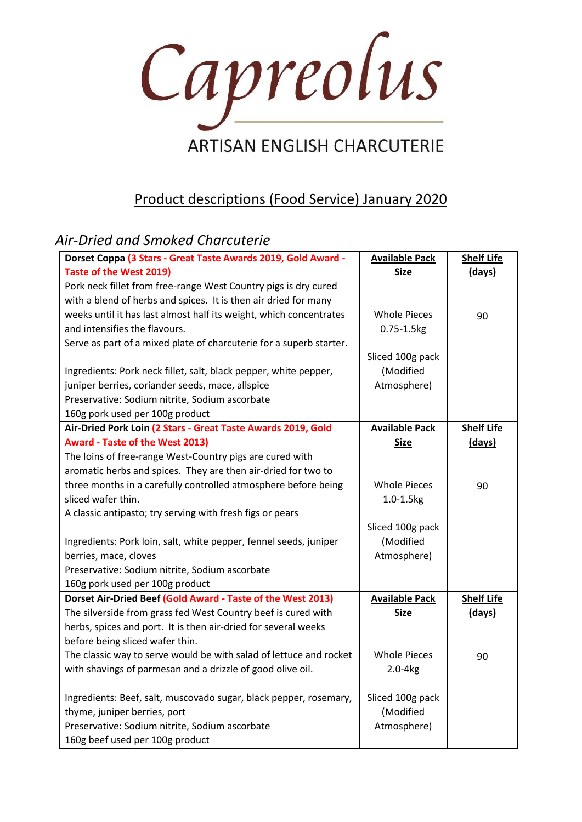Capreolus

## **ARTISAN ENGLISH CHARCUTERIE**

## Product descriptions (Food Service) January 2020

## *Air-Dried and Smoked Charcuterie*

| Dorset Coppa (3 Stars - Great Taste Awards 2019, Gold Award -       | <b>Available Pack</b>     | <b>Shelf Life</b> |
|---------------------------------------------------------------------|---------------------------|-------------------|
| Taste of the West 2019)                                             | <b>Size</b>               | (days)            |
| Pork neck fillet from free-range West Country pigs is dry cured     |                           |                   |
| with a blend of herbs and spices. It is then air dried for many     |                           |                   |
| weeks until it has last almost half its weight, which concentrates  | <b>Whole Pieces</b>       | 90                |
| and intensifies the flavours.                                       | $0.75 - 1.5$ kg           |                   |
| Serve as part of a mixed plate of charcuterie for a superb starter. |                           |                   |
|                                                                     | Sliced 100g pack          |                   |
| Ingredients: Pork neck fillet, salt, black pepper, white pepper,    | (Modified                 |                   |
| juniper berries, coriander seeds, mace, allspice                    | Atmosphere)               |                   |
| Preservative: Sodium nitrite, Sodium ascorbate                      |                           |                   |
| 160g pork used per 100g product                                     |                           |                   |
| Air-Dried Pork Loin (2 Stars - Great Taste Awards 2019, Gold        | <b>Available Pack</b>     | <b>Shelf Life</b> |
| <b>Award - Taste of the West 2013)</b>                              | <b>Size</b>               | (days)            |
| The loins of free-range West-Country pigs are cured with            |                           |                   |
| aromatic herbs and spices. They are then air-dried for two to       |                           |                   |
| three months in a carefully controlled atmosphere before being      | <b>Whole Pieces</b>       | 90                |
| sliced wafer thin.                                                  | $1.0 - 1.5$ <sub>kg</sub> |                   |
| A classic antipasto; try serving with fresh figs or pears           |                           |                   |
|                                                                     | Sliced 100g pack          |                   |
| Ingredients: Pork loin, salt, white pepper, fennel seeds, juniper   | (Modified                 |                   |
| berries, mace, cloves                                               | Atmosphere)               |                   |
| Preservative: Sodium nitrite, Sodium ascorbate                      |                           |                   |
| 160g pork used per 100g product                                     |                           |                   |
| Dorset Air-Dried Beef (Gold Award - Taste of the West 2013)         | <b>Available Pack</b>     | <b>Shelf Life</b> |
| The silverside from grass fed West Country beef is cured with       | <b>Size</b>               | (days)            |
| herbs, spices and port. It is then air-dried for several weeks      |                           |                   |
| before being sliced wafer thin.                                     |                           |                   |
| The classic way to serve would be with salad of lettuce and rocket  | <b>Whole Pieces</b>       | 90                |
| with shavings of parmesan and a drizzle of good olive oil.          | $2.0 - 4kg$               |                   |
|                                                                     |                           |                   |
| Ingredients: Beef, salt, muscovado sugar, black pepper, rosemary,   | Sliced 100g pack          |                   |
| thyme, juniper berries, port                                        | (Modified                 |                   |
| Preservative: Sodium nitrite, Sodium ascorbate                      | Atmosphere)               |                   |
| 160g beef used per 100g product                                     |                           |                   |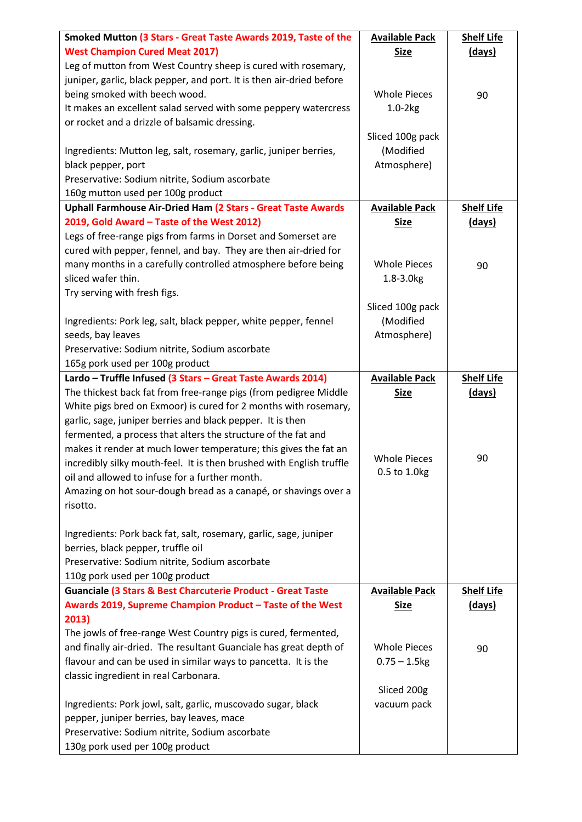| Smoked Mutton (3 Stars - Great Taste Awards 2019, Taste of the                                          | <b>Available Pack</b> | <b>Shelf Life</b> |
|---------------------------------------------------------------------------------------------------------|-----------------------|-------------------|
| <b>West Champion Cured Meat 2017)</b>                                                                   | <b>Size</b>           | (days)            |
| Leg of mutton from West Country sheep is cured with rosemary,                                           |                       |                   |
| juniper, garlic, black pepper, and port. It is then air-dried before                                    |                       |                   |
| being smoked with beech wood.                                                                           | <b>Whole Pieces</b>   | 90                |
| It makes an excellent salad served with some peppery watercress                                         | $1.0-2kg$             |                   |
| or rocket and a drizzle of balsamic dressing.                                                           |                       |                   |
|                                                                                                         | Sliced 100g pack      |                   |
| Ingredients: Mutton leg, salt, rosemary, garlic, juniper berries,                                       | (Modified             |                   |
| black pepper, port                                                                                      | Atmosphere)           |                   |
| Preservative: Sodium nitrite, Sodium ascorbate                                                          |                       |                   |
| 160g mutton used per 100g product                                                                       |                       |                   |
| Uphall Farmhouse Air-Dried Ham (2 Stars - Great Taste Awards                                            | <b>Available Pack</b> | <b>Shelf Life</b> |
| 2019, Gold Award - Taste of the West 2012)                                                              | <b>Size</b>           | (days)            |
| Legs of free-range pigs from farms in Dorset and Somerset are                                           |                       |                   |
| cured with pepper, fennel, and bay. They are then air-dried for                                         |                       |                   |
| many months in a carefully controlled atmosphere before being                                           | <b>Whole Pieces</b>   | 90                |
| sliced wafer thin.                                                                                      | 1.8-3.0kg             |                   |
| Try serving with fresh figs.                                                                            |                       |                   |
|                                                                                                         | Sliced 100g pack      |                   |
| Ingredients: Pork leg, salt, black pepper, white pepper, fennel                                         | (Modified             |                   |
| seeds, bay leaves                                                                                       | Atmosphere)           |                   |
| Preservative: Sodium nitrite, Sodium ascorbate                                                          |                       |                   |
| 165g pork used per 100g product                                                                         |                       |                   |
| Lardo - Truffle Infused (3 Stars - Great Taste Awards 2014)                                             | <b>Available Pack</b> | <b>Shelf Life</b> |
| The thickest back fat from free-range pigs (from pedigree Middle                                        | <b>Size</b>           | (days)            |
| White pigs bred on Exmoor) is cured for 2 months with rosemary,                                         |                       |                   |
| garlic, sage, juniper berries and black pepper. It is then                                              |                       |                   |
| fermented, a process that alters the structure of the fat and                                           |                       |                   |
| makes it render at much lower temperature; this gives the fat an                                        |                       |                   |
| incredibly silky mouth-feel. It is then brushed with English truffle                                    | <b>Whole Pieces</b>   | 90                |
| oil and allowed to infuse for a further month.                                                          | 0.5 to 1.0kg          |                   |
|                                                                                                         |                       |                   |
| Amazing on hot sour-dough bread as a canapé, or shavings over a<br>risotto.                             |                       |                   |
|                                                                                                         |                       |                   |
|                                                                                                         |                       |                   |
| Ingredients: Pork back fat, salt, rosemary, garlic, sage, juniper<br>berries, black pepper, truffle oil |                       |                   |
| Preservative: Sodium nitrite, Sodium ascorbate                                                          |                       |                   |
| 110g pork used per 100g product                                                                         |                       |                   |
| Guanciale (3 Stars & Best Charcuterie Product - Great Taste                                             | <b>Available Pack</b> |                   |
|                                                                                                         |                       | <b>Shelf Life</b> |
| Awards 2019, Supreme Champion Product - Taste of the West                                               | <b>Size</b>           | (days)            |
| 2013)                                                                                                   |                       |                   |
| The jowls of free-range West Country pigs is cured, fermented,                                          |                       |                   |
| and finally air-dried. The resultant Guanciale has great depth of                                       | <b>Whole Pieces</b>   | 90                |
| flavour and can be used in similar ways to pancetta. It is the                                          | $0.75 - 1.5$ kg       |                   |
| classic ingredient in real Carbonara.                                                                   |                       |                   |
|                                                                                                         | Sliced 200g           |                   |
| Ingredients: Pork jowl, salt, garlic, muscovado sugar, black                                            | vacuum pack           |                   |
| pepper, juniper berries, bay leaves, mace                                                               |                       |                   |
| Preservative: Sodium nitrite, Sodium ascorbate                                                          |                       |                   |
| 130g pork used per 100g product                                                                         |                       |                   |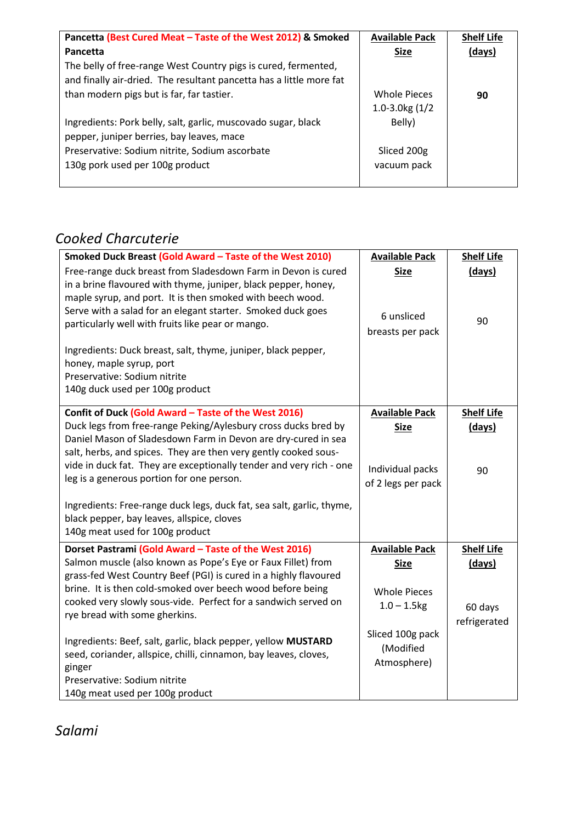| Pancetta (Best Cured Meat - Taste of the West 2012) & Smoked        | <b>Available Pack</b> | <b>Shelf Life</b> |
|---------------------------------------------------------------------|-----------------------|-------------------|
| Pancetta                                                            | <b>Size</b>           | (days)            |
| The belly of free-range West Country pigs is cured, fermented,      |                       |                   |
| and finally air-dried. The resultant pancetta has a little more fat |                       |                   |
| than modern pigs but is far, far tastier.                           | Whole Pieces          | 90                |
|                                                                     | 1.0-3.0 $kg(1/2)$     |                   |
| Ingredients: Pork belly, salt, garlic, muscovado sugar, black       | Belly)                |                   |
| pepper, juniper berries, bay leaves, mace                           |                       |                   |
| Preservative: Sodium nitrite, Sodium ascorbate                      | Sliced 200g           |                   |
| 130g pork used per 100g product                                     | vacuum pack           |                   |
|                                                                     |                       |                   |

## *Cooked Charcuterie*

| Smoked Duck Breast (Gold Award - Taste of the West 2010)                                                                                                                                                                                        | <b>Available Pack</b>                        | <b>Shelf Life</b> |
|-------------------------------------------------------------------------------------------------------------------------------------------------------------------------------------------------------------------------------------------------|----------------------------------------------|-------------------|
| Free-range duck breast from Sladesdown Farm in Devon is cured                                                                                                                                                                                   | <b>Size</b>                                  | (days)            |
| in a brine flavoured with thyme, juniper, black pepper, honey,<br>maple syrup, and port. It is then smoked with beech wood.<br>Serve with a salad for an elegant starter. Smoked duck goes<br>particularly well with fruits like pear or mango. | 6 unsliced<br>breasts per pack               | 90                |
| Ingredients: Duck breast, salt, thyme, juniper, black pepper,<br>honey, maple syrup, port                                                                                                                                                       |                                              |                   |
| Preservative: Sodium nitrite                                                                                                                                                                                                                    |                                              |                   |
| 140g duck used per 100g product                                                                                                                                                                                                                 |                                              |                   |
| Confit of Duck (Gold Award - Taste of the West 2016)                                                                                                                                                                                            | <b>Available Pack</b>                        | <b>Shelf Life</b> |
| Duck legs from free-range Peking/Aylesbury cross ducks bred by                                                                                                                                                                                  | <b>Size</b>                                  | (days)            |
| Daniel Mason of Sladesdown Farm in Devon are dry-cured in sea<br>salt, herbs, and spices. They are then very gently cooked sous-                                                                                                                |                                              |                   |
| vide in duck fat. They are exceptionally tender and very rich - one                                                                                                                                                                             | Individual packs                             | 90                |
| leg is a generous portion for one person.                                                                                                                                                                                                       | of 2 legs per pack                           |                   |
| Ingredients: Free-range duck legs, duck fat, sea salt, garlic, thyme,<br>black pepper, bay leaves, allspice, cloves<br>140g meat used for 100g product                                                                                          |                                              |                   |
| Dorset Pastrami (Gold Award - Taste of the West 2016)                                                                                                                                                                                           | <b>Available Pack</b>                        | <b>Shelf Life</b> |
| Salmon muscle (also known as Pope's Eye or Faux Fillet) from<br>grass-fed West Country Beef (PGI) is cured in a highly flavoured                                                                                                                | <b>Size</b>                                  | (days)            |
| brine. It is then cold-smoked over beech wood before being                                                                                                                                                                                      | <b>Whole Pieces</b>                          |                   |
| cooked very slowly sous-vide. Perfect for a sandwich served on                                                                                                                                                                                  | $1.0 - 1.5$ kg                               | 60 days           |
| rye bread with some gherkins.                                                                                                                                                                                                                   |                                              | refrigerated      |
| Ingredients: Beef, salt, garlic, black pepper, yellow MUSTARD<br>seed, coriander, allspice, chilli, cinnamon, bay leaves, cloves,                                                                                                               | Sliced 100g pack<br>(Modified<br>Atmosphere) |                   |
| ginger<br>Preservative: Sodium nitrite                                                                                                                                                                                                          |                                              |                   |
| 140g meat used per 100g product                                                                                                                                                                                                                 |                                              |                   |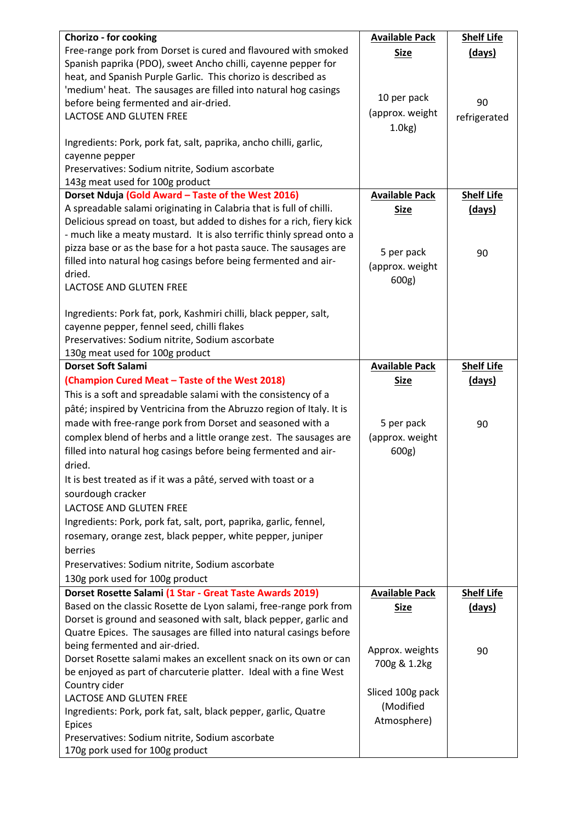| <b>Chorizo - for cooking</b>                                                                                                               | <b>Available Pack</b> | <b>Shelf Life</b> |
|--------------------------------------------------------------------------------------------------------------------------------------------|-----------------------|-------------------|
| Free-range pork from Dorset is cured and flavoured with smoked                                                                             | <b>Size</b>           | (days)            |
| Spanish paprika (PDO), sweet Ancho chilli, cayenne pepper for                                                                              |                       |                   |
| heat, and Spanish Purple Garlic. This chorizo is described as                                                                              |                       |                   |
| 'medium' heat. The sausages are filled into natural hog casings                                                                            | 10 per pack           |                   |
| before being fermented and air-dried.                                                                                                      | (approx. weight       | 90                |
| LACTOSE AND GLUTEN FREE                                                                                                                    |                       | refrigerated      |
|                                                                                                                                            | 1.0kg)                |                   |
| Ingredients: Pork, pork fat, salt, paprika, ancho chilli, garlic,                                                                          |                       |                   |
| cayenne pepper                                                                                                                             |                       |                   |
| Preservatives: Sodium nitrite, Sodium ascorbate                                                                                            |                       |                   |
| 143g meat used for 100g product                                                                                                            |                       |                   |
| Dorset Nduja (Gold Award - Taste of the West 2016)                                                                                         | <b>Available Pack</b> | <b>Shelf Life</b> |
| A spreadable salami originating in Calabria that is full of chilli.                                                                        | <b>Size</b>           | (days)            |
| Delicious spread on toast, but added to dishes for a rich, fiery kick                                                                      |                       |                   |
| - much like a meaty mustard. It is also terrific thinly spread onto a<br>pizza base or as the base for a hot pasta sauce. The sausages are |                       |                   |
|                                                                                                                                            | 5 per pack            | 90                |
| filled into natural hog casings before being fermented and air-<br>dried.                                                                  | (approx. weight       |                   |
| <b>LACTOSE AND GLUTEN FREE</b>                                                                                                             | 600g)                 |                   |
|                                                                                                                                            |                       |                   |
| Ingredients: Pork fat, pork, Kashmiri chilli, black pepper, salt,                                                                          |                       |                   |
| cayenne pepper, fennel seed, chilli flakes                                                                                                 |                       |                   |
| Preservatives: Sodium nitrite, Sodium ascorbate                                                                                            |                       |                   |
| 130g meat used for 100g product                                                                                                            |                       |                   |
| <b>Dorset Soft Salami</b>                                                                                                                  | <b>Available Pack</b> | <b>Shelf Life</b> |
| (Champion Cured Meat - Taste of the West 2018)                                                                                             | <b>Size</b>           | (days)            |
| This is a soft and spreadable salami with the consistency of a                                                                             |                       |                   |
| pâté; inspired by Ventricina from the Abruzzo region of Italy. It is                                                                       |                       |                   |
|                                                                                                                                            |                       |                   |
| made with free-range pork from Dorset and seasoned with a                                                                                  | 5 per pack            | 90                |
| complex blend of herbs and a little orange zest. The sausages are                                                                          | (approx. weight       |                   |
| filled into natural hog casings before being fermented and air-                                                                            | 600g)                 |                   |
| dried.                                                                                                                                     |                       |                   |
| It is best treated as if it was a pâté, served with toast or a                                                                             |                       |                   |
| sourdough cracker                                                                                                                          |                       |                   |
| LACTOSE AND GLUTEN FREE                                                                                                                    |                       |                   |
| Ingredients: Pork, pork fat, salt, port, paprika, garlic, fennel,                                                                          |                       |                   |
| rosemary, orange zest, black pepper, white pepper, juniper                                                                                 |                       |                   |
| berries                                                                                                                                    |                       |                   |
| Preservatives: Sodium nitrite, Sodium ascorbate                                                                                            |                       |                   |
| 130g pork used for 100g product                                                                                                            |                       |                   |
| Dorset Rosette Salami (1 Star - Great Taste Awards 2019)                                                                                   | <b>Available Pack</b> | <b>Shelf Life</b> |
| Based on the classic Rosette de Lyon salami, free-range pork from                                                                          | <b>Size</b>           | (days)            |
| Dorset is ground and seasoned with salt, black pepper, garlic and                                                                          |                       |                   |
| Quatre Epices. The sausages are filled into natural casings before                                                                         |                       |                   |
| being fermented and air-dried.                                                                                                             | Approx. weights       | 90                |
| Dorset Rosette salami makes an excellent snack on its own or can                                                                           | 700g & 1.2kg          |                   |
| be enjoyed as part of charcuterie platter. Ideal with a fine West                                                                          |                       |                   |
| Country cider                                                                                                                              |                       |                   |
| <b>LACTOSE AND GLUTEN FREE</b>                                                                                                             | Sliced 100g pack      |                   |
| Ingredients: Pork, pork fat, salt, black pepper, garlic, Quatre                                                                            | (Modified             |                   |
| Epices                                                                                                                                     | Atmosphere)           |                   |
| Preservatives: Sodium nitrite, Sodium ascorbate                                                                                            |                       |                   |
| 170g pork used for 100g product                                                                                                            |                       |                   |